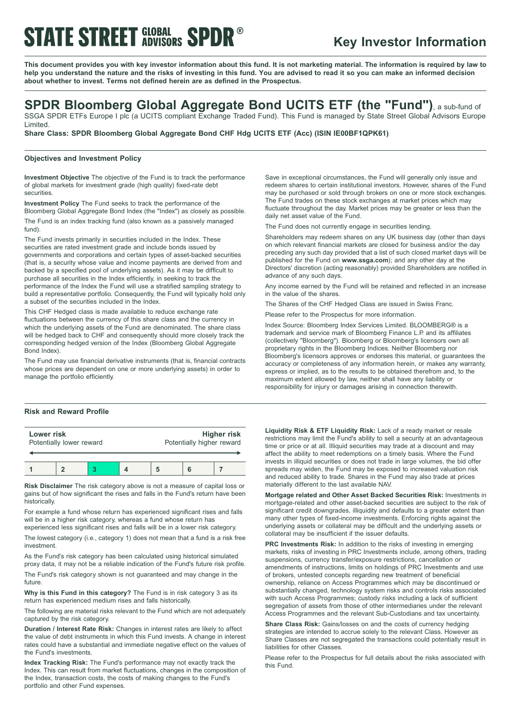# **STATE STREET GLOBAL SPDR®**

## **Key Investor Information**

This document provides you with key investor information about this fund. It is not marketing material. The information is required by law to help you understand the nature and the risks of investing in this fund. You are advised to read it so you can make an informed decision **about whether to invest. Terms not defined herein are as defined in the Prospectus.**

# **SPDR Bloomberg Global Aggregate Bond UCITS ETF (the "Fund")**, <sup>a</sup> sub-fund of

SSGA SPDR ETFs Europe I plc (a UCITS compliant Exchange Traded Fund). This Fund is managed by State Street Global Advisors Europe Limited.

**Share Class: SPDR Bloomberg Global Aggregate Bond CHF Hdg UCITS ETF (Acc) (ISIN IE00BF1QPK61)**

### **Objectives and Investment Policy**

**Investment Objective** The objective of the Fund is to track the performance of global markets for investment grade (high quality) fixed-rate debt securities.

**Investment Policy** The Fund seeks to track the performance of the Bloomberg Global Aggregate Bond Index (the "Index") as closely as possible. The Fund is an index tracking fund (also known as a passively managed fund).

The Fund invests primarily in securities included in the Index. These securities are rated investment grade and include bonds issued by governments and corporations and certain types of asset-backed securities (that is, a security whose value and income payments are derived from and backed by a specified pool of underlying assets). As it may be difficult to purchase all securities in the Index efficiently, in seeking to track the performance of the Index the Fund will use a stratified sampling strategy to build a representative portfolio. Consequently, the Fund will typically hold only a subset of the securities included in the Index.

This CHF Hedged class is made available to reduce exchange rate fluctuations between the currency of this share class and the currency in which the underlying assets of the Fund are denominated. The share class will be hedged back to CHF and consequently should more closely track the corresponding hedged version of the Index (Bloomberg Global Aggregate Bond Index).

The Fund may use financial derivative instruments (that is, financial contracts whose prices are dependent on one or more underlying assets) in order to manage the portfolio efficiently.

## **Risk and Reward Profile**

| Lower risk               |  |  |  | Higher risk               |  |  |
|--------------------------|--|--|--|---------------------------|--|--|
| Potentially lower reward |  |  |  | Potentially higher reward |  |  |
|                          |  |  |  |                           |  |  |

**Risk Disclaimer** The risk category above is not a measure of capital loss or gains but of how significant the rises and falls in the Fund's return have been historically.

For example a fund whose return has experienced significant rises and falls will be in a higher risk category, whereas a fund whose return has experienced less significant rises and falls will be in a lower risk category.

The lowest category (i.e., category 1) does not mean that a fund is a risk free investment.

As the Fund's risk category has been calculated using historical simulated proxy data, it may not be a reliable indication of the Fund's future risk profile.

The Fund's risk category shown is not guaranteed and may change in the future.

**Why is this Fund in this category?** The Fund is in risk category 3 as its return has experienced medium rises and falls historically.

The following are material risks relevant to the Fund which are not adequately captured by the risk category.

**Duration / Interest Rate Risk:** Changes in interest rates are likely to affect the value of debt instruments in which this Fund invests. A change in interest rates could have a substantial and immediate negative effect on the values of the Fund's investments.

**Index Tracking Risk:** The Fund's performance may not exactly track the Index. This can result from market fluctuations, changes in the composition of the Index, transaction costs, the costs of making changes to the Fund's portfolio and other Fund expenses.

Save in exceptional circumstances, the Fund will generally only issue and redeem shares to certain institutional investors. However, shares of the Fund may be purchased or sold through brokers on one or more stock exchanges. The Fund trades on these stock exchanges at market prices which may fluctuate throughout the day. Market prices may be greater or less than the daily net asset value of the Fund.

The Fund does not currently engage in securities lending.

Shareholders may redeem shares on any UK business day (other than days on which relevant financial markets are closed for business and/or the day preceding any such day provided that a list of such closed market days will be published for the Fund on **www.ssga.com**); and any other day at the Directors' discretion (acting reasonably) provided Shareholders are notified in advance of any such days.

Any income earned by the Fund will be retained and reflected in an increase in the value of the shares.

The Shares of the CHF Hedged Class are issued in Swiss Franc.

Please refer to the Prospectus for more information.

Index Source: Bloomberg Index Services Limited. BLOOMBERG® is a trademark and service mark of Bloomberg Finance L.P. and its affiliates (collectively "Bloomberg"). Bloomberg or Bloomberg's licensors own all proprietary rights in the Bloomberg Indices. Neither Bloomberg nor Bloomberg's licensors approves or endorses this material, or guarantees the accuracy or completeness of any information herein, or makes any warranty, express or implied, as to the results to be obtained therefrom and, to the maximum extent allowed by law, neither shall have any liability or responsibility for injury or damages arising in connection therewith.

**Liquidity Risk & ETF Liquidity Risk:** Lack of a ready market or resale restrictions may limit the Fund's ability to sell a security at an advantageous time or price or at all. Illiquid securities may trade at a discount and may affect the ability to meet redemptions on a timely basis. Where the Fund invests in illiquid securities or does not trade in large volumes, the bid offer spreads may widen, the Fund may be exposed to increased valuation risk and reduced ability to trade. Shares in the Fund may also trade at prices materially different to the last available NAV.

**Mortgage related and Other Asset Backed Securities Risk:** Investments in mortgage-related and other asset-backed securities are subject to the risk of significant credit downgrades, illiquidity and defaults to a greater extent than many other types of fixed-income investments. Enforcing rights against the underlying assets or collateral may be difficult and the underlying assets or collateral may be insufficient if the issuer defaults.

**PRC Investments Risk:** In addition to the risks of investing in emerging markets, risks of investing in PRC Investments include, among others, trading suspensions, currency transfer/exposure restrictions, cancellation or amendments of instructions, limits on holdings of PRC Investments and use of brokers, untested concepts regarding new treatment of beneficial ownership, reliance on Access Programmes which may be discontinued or substantially changed, technology system risks and controls risks associated with such Access Programmes; custody risks including a lack of sufficient segregation of assets from those of other intermediaries under the relevant Access Programmes and the relevant Sub-Custodians and tax uncertainty.

**Share Class Risk:** Gains/losses on and the costs of currency hedging strategies are intended to accrue solely to the relevant Class. However as Share Classes are not segregated the transactions could potentially result in liabilities for other Classes.

Please refer to the Prospectus for full details about the risks associated with this Fund.